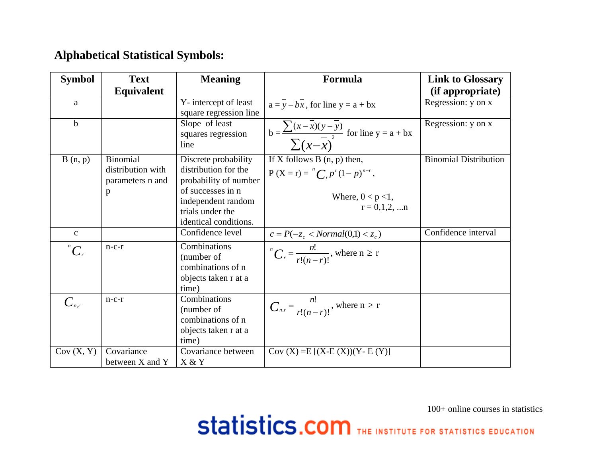## **Alphabetical Statistical Symbols:**

| <b>Symbol</b>      | <b>Text</b>                                                   | <b>Meaning</b>                                                                                                                                                | Formula                                                                                                                        | <b>Link to Glossary</b>      |
|--------------------|---------------------------------------------------------------|---------------------------------------------------------------------------------------------------------------------------------------------------------------|--------------------------------------------------------------------------------------------------------------------------------|------------------------------|
|                    | <b>Equivalent</b>                                             |                                                                                                                                                               |                                                                                                                                | (if appropriate)             |
| $\mathbf{a}$       |                                                               | Y-intercept of least<br>square regression line                                                                                                                | $a = y - bx$ , for line $y = a + bx$                                                                                           | Regression: y on x           |
| $\mathbf b$        |                                                               | Slope of least<br>squares regression<br>line                                                                                                                  | b = $\frac{\sum (x - \overline{x})(y - \overline{y})}{\sum (x - \overline{x})^{2}}$ for line y = a + bx                        | Regression: y on x           |
| B(n, p)            | <b>Binomial</b><br>distribution with<br>parameters n and<br>p | Discrete probability<br>distribution for the<br>probability of number<br>of successes in n<br>independent random<br>trials under the<br>identical conditions. | If $\overline{X}$ follows B (n, p) then,<br>$P(X = r) = {^{n}C_{r}}p^{r}(1-p)^{n-r},$<br>Where, $0 < p < 1$ ,<br>$r = 0,1,2,n$ | <b>Binomial Distribution</b> |
| $\mathbf{C}$       |                                                               | Confidence level                                                                                                                                              | $c = P(-z_c < Normal(0,1) < z_c)$                                                                                              | Confidence interval          |
| $\int_{0}^{n} C_r$ | $n-c-r$                                                       | Combinations<br>(number of<br>combinations of n<br>objects taken r at a<br>time)                                                                              | $\binom{n}{r}$ = $\frac{n!}{r!(n-r)!}$ , where $n \ge r$                                                                       |                              |
| $C_{n,r}$          | $n-c-r$                                                       | Combinations<br>(number of<br>combinations of n<br>objects taken r at a<br>time)                                                                              | $C_{n,r} = \frac{n!}{r!(n-r)!}$ , where $n \ge r$                                                                              |                              |
| Cov(X, Y)          | Covariance<br>between X and Y                                 | Covariance between<br>X & Y                                                                                                                                   | $Cov(X) = E[(X-E(X))(Y-E(Y))]$                                                                                                 |                              |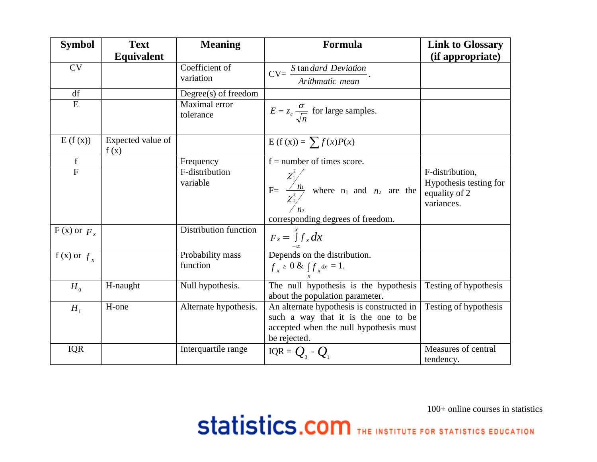| <b>Symbol</b>              | <b>Text</b>               | <b>Meaning</b>               | Formula                                                                                                                                    | <b>Link to Glossary</b>                                                  |
|----------------------------|---------------------------|------------------------------|--------------------------------------------------------------------------------------------------------------------------------------------|--------------------------------------------------------------------------|
|                            | <b>Equivalent</b>         |                              |                                                                                                                                            | (if appropriate)                                                         |
| CV                         |                           | Coefficient of               |                                                                                                                                            |                                                                          |
|                            |                           | variation                    | $CV = \frac{S \tan \text{dard Deviation}}{\text{Arithmetic mean}}.$                                                                        |                                                                          |
| df                         |                           | Degree(s) of freedom         |                                                                                                                                            |                                                                          |
| E                          |                           | Maximal error<br>tolerance   | $E = z_c \frac{\sigma}{\sqrt{n}}$ for large samples.                                                                                       |                                                                          |
| E(f(x))                    | Expected value of<br>f(x) |                              | $E(f(x)) = \sum f(x)P(x)$                                                                                                                  |                                                                          |
| $\mathbf f$                |                           | Frequency                    | $f =$ number of times score.                                                                                                               |                                                                          |
| $\overline{F}$             |                           | F-distribution<br>variable   | $\kappa = \frac{\chi_1^2}{\chi_2^2}$ where $n_1$ and $n_2$ are the<br>corresponding degrees of freedom.                                    | F-distribution,<br>Hypothesis testing for<br>equality of 2<br>variances. |
| $F(x)$ or $F_x$            |                           | Distribution function        | $F_x = \int f_x dx$                                                                                                                        |                                                                          |
| $\overline{f(x)}$ or $f_x$ |                           | Probability mass<br>function | $\frac{-\infty}{\text{Depends on the distribution.}}$<br>$f_x \geq 0$ & $\int f_x dx = 1$ .                                                |                                                                          |
| H <sub>0</sub>             | H-naught                  | Null hypothesis.             | The null hypothesis is the hypothesis<br>about the population parameter.                                                                   | Testing of hypothesis                                                    |
| $H_1$                      | H-one                     | Alternate hypothesis.        | An alternate hypothesis is constructed in<br>such a way that it is the one to be<br>accepted when the null hypothesis must<br>be rejected. | Testing of hypothesis                                                    |
| <b>IQR</b>                 |                           | Interquartile range          | IQR = $Q_3$ - $Q_1$                                                                                                                        | Measures of central<br>tendency.                                         |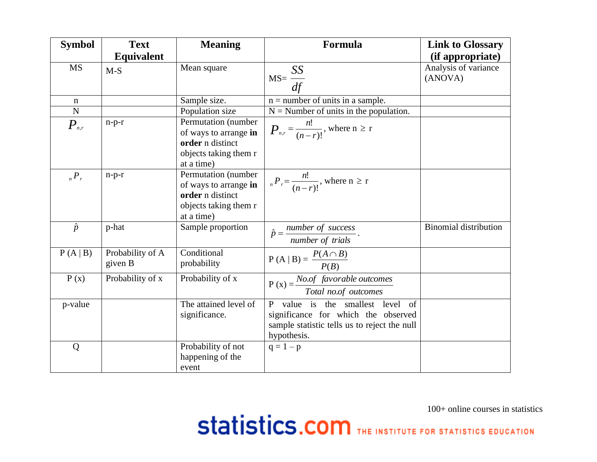| <b>Symbol</b>                | <b>Text</b>                 | <b>Meaning</b>                                                                                          | Formula                                                                                                                                | <b>Link to Glossary</b>         |
|------------------------------|-----------------------------|---------------------------------------------------------------------------------------------------------|----------------------------------------------------------------------------------------------------------------------------------------|---------------------------------|
|                              | <b>Equivalent</b>           |                                                                                                         |                                                                                                                                        | (if appropriate)                |
| <b>MS</b>                    | $M-S$                       | Mean square                                                                                             | $MS = \frac{SS}{df}$                                                                                                                   | Analysis of variance<br>(ANOVA) |
| n                            |                             | Sample size.                                                                                            | $n =$ number of units in a sample.                                                                                                     |                                 |
| $\mathbf N$                  |                             | Population size                                                                                         | $N =$ Number of units in the population.                                                                                               |                                 |
| $P_{\scriptscriptstyle n,r}$ | $n-p-r$                     | Permutation (number<br>of ways to arrange in<br>order n distinct<br>objects taking them r<br>at a time) | $P_{n,r} = \frac{n!}{(n-r)!}$ , where $n \geq r$                                                                                       |                                 |
| $_{n}P_{r}$                  | $n-p-r$                     | Permutation (number<br>of ways to arrange in<br>order n distinct<br>objects taking them r<br>at a time) | $_{n}P_{r}=\frac{n!}{(n-r)!}$ , where $n \geq r$                                                                                       |                                 |
| $\hat{p}$                    | p-hat                       | Sample proportion                                                                                       | $\hat{p} = \frac{number\ of\ success}{number\ of\ trials}$ .                                                                           | <b>Binomial distribution</b>    |
| P(A B)                       | Probability of A<br>given B | Conditional<br>probability                                                                              | $P(A   B) = \frac{P(A \cap B)}{P(B)}$                                                                                                  |                                 |
| P(x)                         | Probability of x            | Probability of x                                                                                        | $P(x) = \frac{No.of$ favorable outcomes<br>Total no.of outcomes                                                                        |                                 |
| p-value                      |                             | The attained level of<br>significance.                                                                  | P value is the smallest level of<br>significance for which the observed<br>sample statistic tells us to reject the null<br>hypothesis. |                                 |
| Q                            |                             | Probability of not<br>happening of the<br>event                                                         | $q = 1 - p$                                                                                                                            |                                 |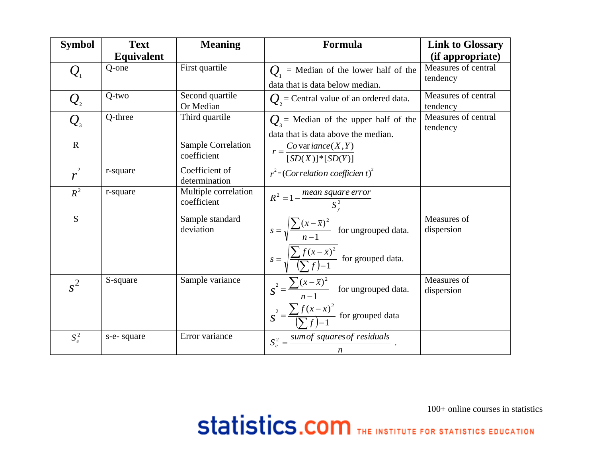| <b>Symbol</b>                         | <b>Text</b>       | <b>Meaning</b>                      | Formula                                                                          | <b>Link to Glossary</b>         |
|---------------------------------------|-------------------|-------------------------------------|----------------------------------------------------------------------------------|---------------------------------|
|                                       | <b>Equivalent</b> |                                     |                                                                                  | (if appropriate)                |
| $\mathcal{Q}_1$                       | Q-one             | First quartile                      | $Q_1$ = Median of the lower half of the                                          | Measures of central<br>tendency |
|                                       |                   |                                     | data that is data below median.                                                  |                                 |
| $\mathcal{Q}_{\scriptscriptstyle{2}}$ | $Q$ -two          | Second quartile<br>Or Median        | $Q_1$ = Central value of an ordered data.                                        | Measures of central<br>tendency |
| $Q_{\scriptscriptstyle 3}$            | Q-three           | Third quartile                      | $Q_3$ = Median of the upper half of the<br>data that is data above the median.   | Measures of central<br>tendency |
| $\mathbf R$                           |                   | Sample Correlation<br>coefficient   | $r = \frac{Co \text{ var} \text{ i}ance(X, Y)}{[SD(X)]^* [SD(Y)]}$               |                                 |
| $r^{2}$                               | r-square          | Coefficient of<br>determination     | $r^2$ =(Correlation coefficient) <sup>2</sup>                                    |                                 |
| $R^2$                                 | r-square          | Multiple correlation<br>coefficient | $R^2 = 1 - \frac{mean square error}{S_y^2}$                                      |                                 |
| S                                     |                   | Sample standard<br>deviation        | $s = \sqrt{\frac{\sum (x - \bar{x})^2}{n-1}}$ for ungrouped data.                | Measures of<br>dispersion       |
|                                       |                   |                                     | $s = \sqrt{\frac{\sum f(x - \bar{x})^2}{(\sum f) - 1}}$ for grouped data.        |                                 |
| $s^2$                                 | S-square          | Sample variance                     | $S^{2} = \frac{\sum (x - \bar{x})^{2}}{n-1}$ for ungrouped data.                 | Measures of<br>dispersion       |
|                                       |                   |                                     | $S^{2} = \frac{\sum f(x - \overline{x})^{2}}{(\sum f)^{2} + 1}$ for grouped data |                                 |
| $S_e^2$                               | s-e-square        | Error variance                      | $S_e^2 = \frac{sumof \ squares \ of \ residuals}{n}$ .                           |                                 |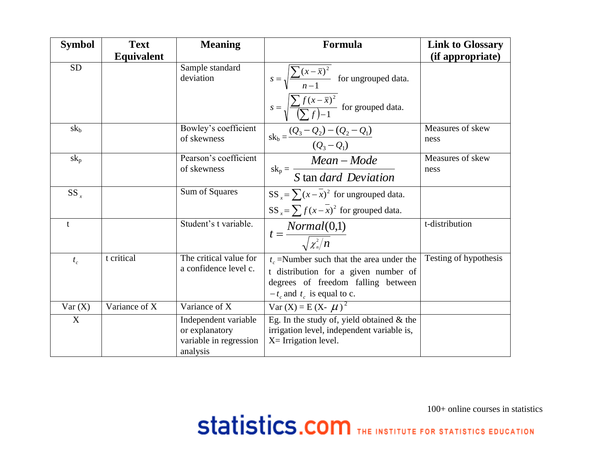| <b>Symbol</b> | <b>Text</b>       | <b>Meaning</b>                                                               | Formula                                                                                                             | <b>Link to Glossary</b>  |
|---------------|-------------------|------------------------------------------------------------------------------|---------------------------------------------------------------------------------------------------------------------|--------------------------|
|               | <b>Equivalent</b> |                                                                              |                                                                                                                     | (if appropriate)         |
| <b>SD</b>     |                   | Sample standard<br>deviation                                                 | $s = \sqrt{\frac{\sum (x - \bar{x})^2}{n-1}}$ for ungrouped data.                                                   |                          |
|               |                   |                                                                              | $s = \sqrt{\frac{\sum f(x - \bar{x})^2}{(\sum f) - 1}}$ for grouped data.                                           |                          |
| $sk_b$        |                   | Bowley's coefficient<br>of skewness                                          | $sk_b = \frac{(Q_3 - Q_2) - (Q_2 - Q_1)}{(Q_3 - Q_1)}$                                                              | Measures of skew<br>ness |
| $sk_p$        |                   | Pearson's coefficient                                                        |                                                                                                                     | Measures of skew         |
|               |                   | of skewness                                                                  | $sk_p = \frac{Mean - Mode}{S \tan{dard Deviation}}$                                                                 | ness                     |
| $SS_{x}$      |                   | Sum of Squares                                                               | SS $_{x} = \sum (x - \overline{x})^2$ for ungrouped data.                                                           |                          |
|               |                   |                                                                              | SS <sub>x</sub> = $\sum f(x - \overline{x})^2$ for grouped data.                                                    |                          |
| t             |                   | Student's t variable.                                                        | $t = \frac{Normal(0,1)}{\sqrt{\chi^2_n/n}}$                                                                         | t-distribution           |
| $t_c$         | t critical        | The critical value for                                                       | $t_c$ =Number such that the area under the                                                                          | Testing of hypothesis    |
|               |                   | a confidence level c.                                                        | t distribution for a given number of<br>degrees of freedom falling between                                          |                          |
|               |                   |                                                                              | $-t_c$ and $t_c$ is equal to c.                                                                                     |                          |
| Var(X)        | Variance of X     | Variance of X                                                                | $Var(X) = E(X - \mu)^2$                                                                                             |                          |
| X             |                   | Independent variable<br>or explanatory<br>variable in regression<br>analysis | Eg. In the study of, yield obtained $&$ the<br>irrigation level, independent variable is,<br>$X=$ Irrigation level. |                          |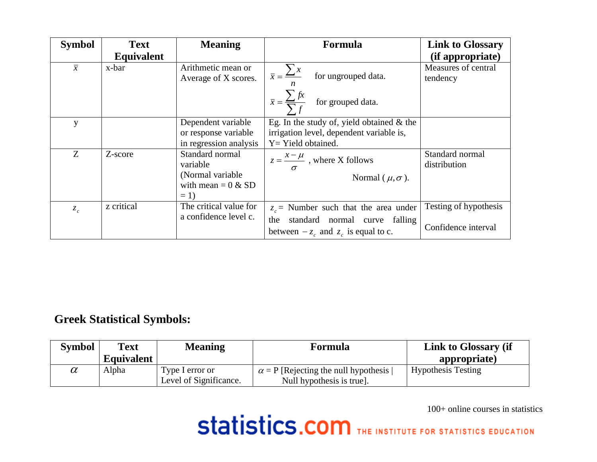| <b>Symbol</b>  | <b>Text</b>       | <b>Meaning</b>                             | <b>Formula</b>                                                | <b>Link to Glossary</b>         |
|----------------|-------------------|--------------------------------------------|---------------------------------------------------------------|---------------------------------|
|                | <b>Equivalent</b> |                                            |                                                               | (if appropriate)                |
| $\overline{x}$ | x-bar             | Arithmetic mean or<br>Average of X scores. | $\overline{x} = \frac{\sum x}{\sum x}$<br>for ungrouped data. | Measures of central<br>tendency |
|                |                   |                                            | $\bar{x} = \frac{\sum fx}{\sum f}$ for grouped data.          |                                 |
| y              |                   | Dependent variable                         | Eg. In the study of, yield obtained $\&$ the                  |                                 |
|                |                   | or response variable                       | irrigation level, dependent variable is,                      |                                 |
|                |                   | in regression analysis                     | Y = Yield obtained.                                           |                                 |
| Z              | Z-score           | Standard normal<br>variable                | $z = \frac{x - \mu}{\sigma}$ , where X follows                | Standard normal<br>distribution |
|                |                   | (Normal variable                           | Normal ( $\mu, \sigma$ ).                                     |                                 |
|                |                   | with mean = $0 \& SD$                      |                                                               |                                 |
|                |                   | $= 1$                                      |                                                               |                                 |
| $z_c$          | z critical        | The critical value for                     | $z_c$ = Number such that the area under                       | Testing of hypothesis           |
|                |                   | a confidence level c.                      | standard normal curve falling<br>the                          |                                 |
|                |                   |                                            | between $-z_c$ and $z_c$ is equal to c.                       | Confidence interval             |

## **Greek Statistical Symbols:**

| <b>Symbol</b> | <b>Text</b>       | <b>Meaning</b>                            | Formula                                                                  | Link to Glossary (if      |
|---------------|-------------------|-------------------------------------------|--------------------------------------------------------------------------|---------------------------|
|               | <b>Equivalent</b> |                                           |                                                                          | appropriate)              |
| $\alpha$      | Alpha             | Type I error or<br>Level of Significance. | $\alpha$ = P [Rejecting the null hypothesis<br>Null hypothesis is true]. | <b>Hypothesis Testing</b> |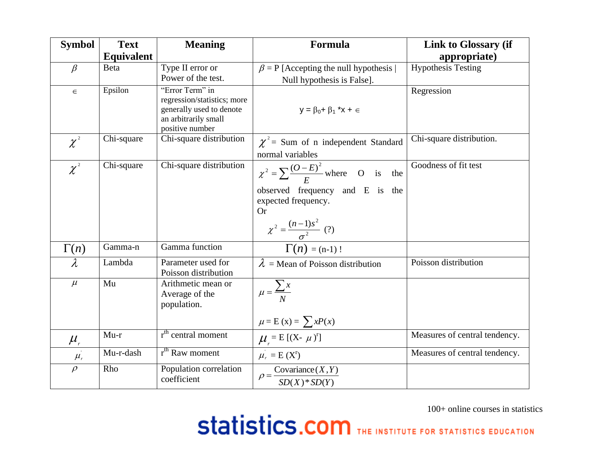| <b>Symbol</b>                              | <b>Text</b>       | <b>Meaning</b>                                                                                                        | <b>Formula</b>                                                                                                                                                         | <b>Link to Glossary (if</b>   |
|--------------------------------------------|-------------------|-----------------------------------------------------------------------------------------------------------------------|------------------------------------------------------------------------------------------------------------------------------------------------------------------------|-------------------------------|
|                                            | <b>Equivalent</b> |                                                                                                                       |                                                                                                                                                                        | appropriate)                  |
| $\beta$                                    | <b>Beta</b>       | Type II error or                                                                                                      | $\beta$ = P [Accepting the null hypothesis                                                                                                                             | <b>Hypothesis Testing</b>     |
|                                            |                   | Power of the test.                                                                                                    | Null hypothesis is False].                                                                                                                                             |                               |
| $\in$                                      | Epsilon           | "Error Term" in<br>regression/statistics; more<br>generally used to denote<br>an arbitrarily small<br>positive number | $y = \beta_0 + \beta_1$ <sup>*</sup> $x + \epsilon$                                                                                                                    | Regression                    |
| $\chi^{^2}$                                | Chi-square        | Chi-square distribution                                                                                               | $\chi^2$ = Sum of n independent Standard                                                                                                                               | Chi-square distribution.      |
|                                            |                   |                                                                                                                       | normal variables                                                                                                                                                       |                               |
| $\chi^2$                                   | Chi-square        | Chi-square distribution                                                                                               | $\chi^2 = \sum \frac{(O-E)^2}{F}$ where O is<br>the<br>observed frequency and E is the<br>expected frequency.<br><b>Or</b><br>$\chi^2 = \frac{(n-1)s^2}{\sigma^2}$ (?) | Goodness of fit test          |
| $\Gamma(n)$                                | Gamma-n           | Gamma function                                                                                                        | $\Gamma(n) = (n-1)!$                                                                                                                                                   |                               |
| $\lambda$                                  | Lambda            | Parameter used for<br>Poisson distribution                                                                            | $\lambda$ = Mean of Poisson distribution                                                                                                                               | Poisson distribution          |
| $\mu$                                      | Mu                | Arithmetic mean or<br>Average of the<br>population.                                                                   | $\mu = \frac{\sum x}{N}$<br>$\mu = E(x) = \sum xP(x)$                                                                                                                  |                               |
| $\frac{\mu_{\text{r}}}{\sigma_{\text{r}}}$ | $Mu-r$            | r <sup>th</sup> central moment                                                                                        | $\mu_r = E[(X - \mu)^r]$<br>$\mu_r = E(X^r)$                                                                                                                           | Measures of central tendency. |
| $\mu_{\rm r}$                              | Mu-r-dash         | r <sup>th</sup> Raw moment                                                                                            |                                                                                                                                                                        | Measures of central tendency. |
| $\rho$                                     | Rho               | Population correlation<br>coefficient                                                                                 | $\rho = \frac{\text{Covariance}(X, Y)}{SD(X) * SD(Y)}$                                                                                                                 |                               |